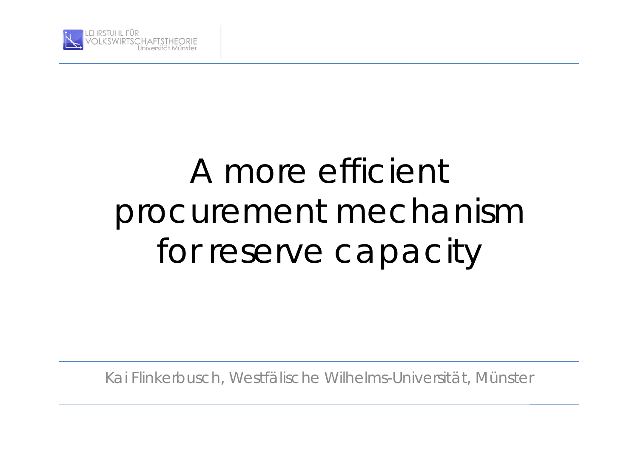

# A more efficient procurement mechanism for reserve capacity

Kai Flinkerbusch, Westfälische Wilhelms-Universität, Münster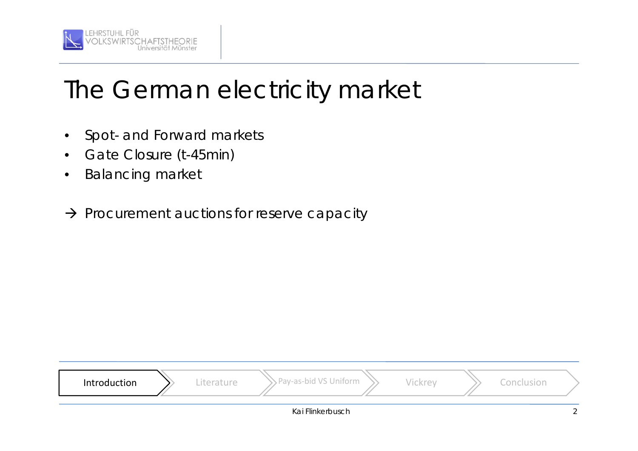

## The German electricity market

- Spot- and Forward markets
- Gate Closure (t-45min)
- **Balancing market**
- $\rightarrow$  Procurement auctions for reserve capacity

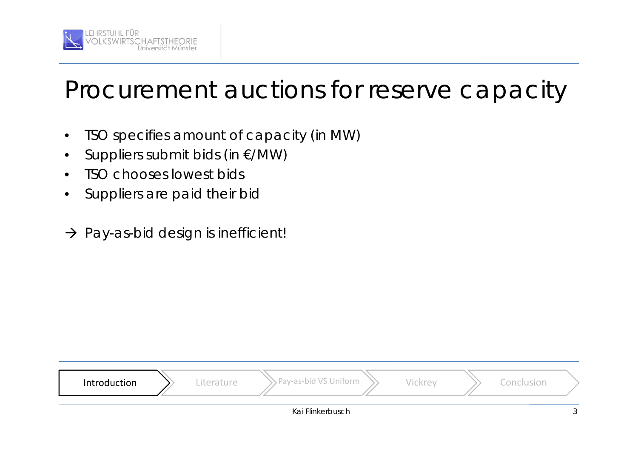

#### Procurement auctions for reserve capacity

- •TSO specifies amount of capacity (in MW)
- •Suppliers submit bids (in €/MW)
- •TSO chooses lowest bids
- •Suppliers are paid their bid
- $\rightarrow$  Pay-as-bid design is inefficient!

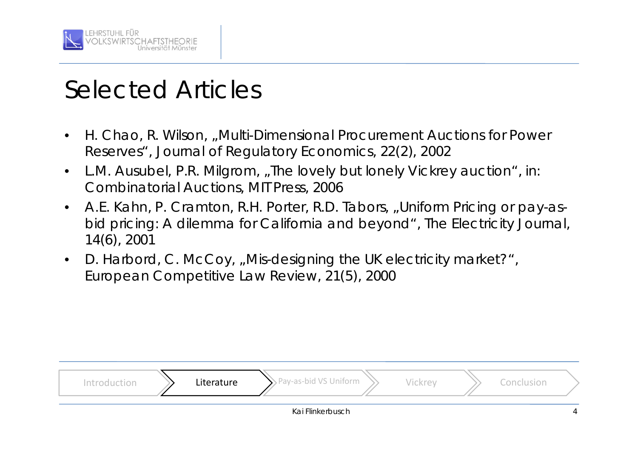

#### Selected Articles

- • H. Chao, R. Wilson, "Multi-Dimensional Procurement Auctions for Power Reserves", *Journal of Regulatory Economics*, 22(2), 2002
- •L.M. Ausubel, P.R. Milgrom, "The lovely but lonely Vickrey auction", in: *Combinatorial Auctions*, MIT Press, 2006
- •A.E. Kahn, P. Cramton, R.H. Porter, R.D. Tabors, "Uniform Pricing or pay-asbid pricing: A dilemma for California and beyond", *The Electricity Journal*, 14(6), 2001
- •D. Harbord, C. McCoy, "Mis-designing the UK electricity market?", *European Competitive Law Review*, 21(5), 2000

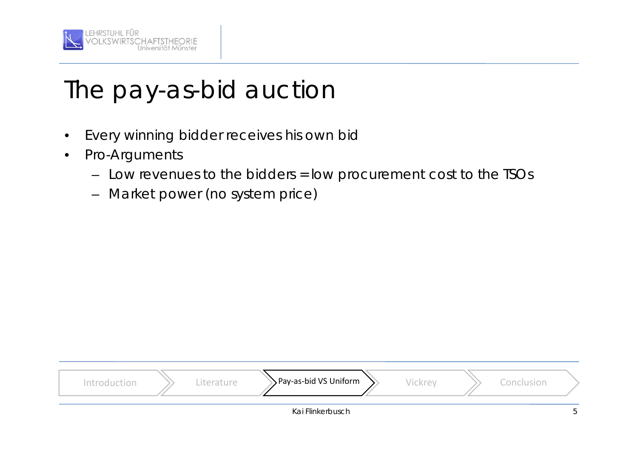

- •Every winning bidder receives his own bid
- • Pro-Arguments
	- Low revenues to the bidders = low procurement cost to the TSOs
	- –Market power (no system price)

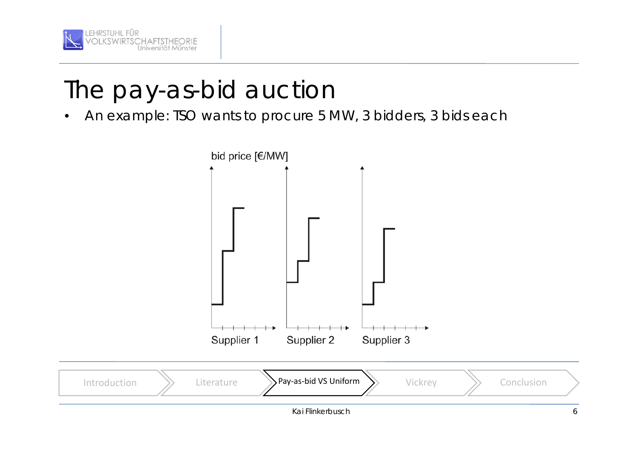

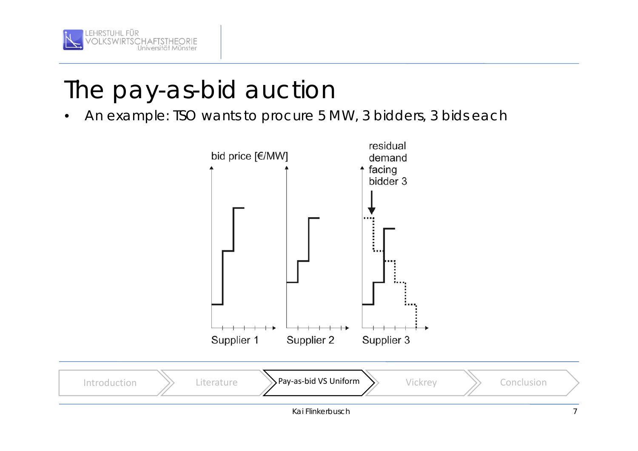



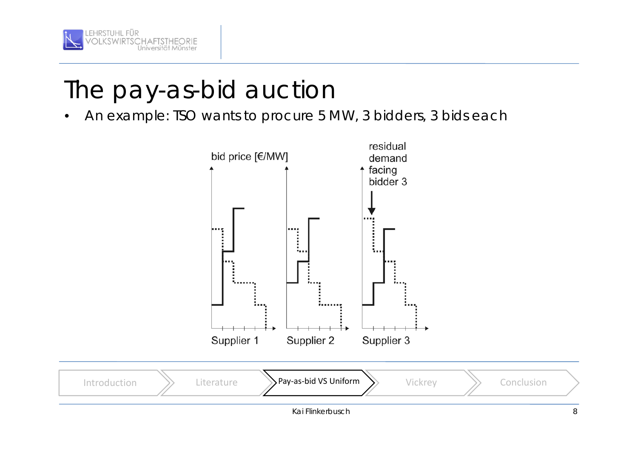



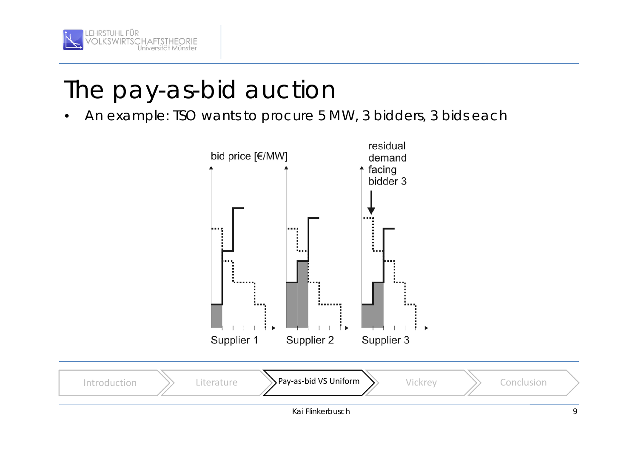



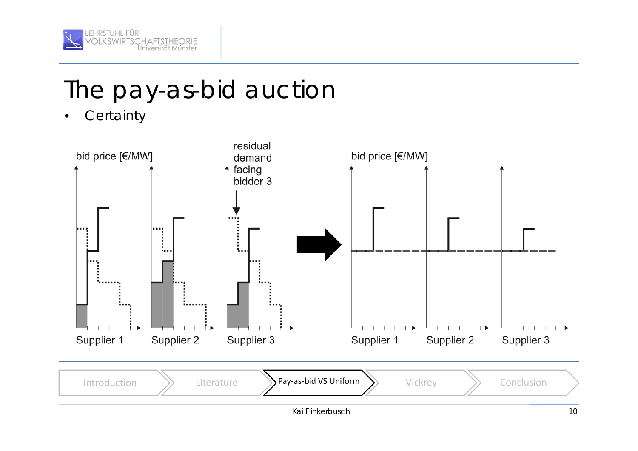

Certainty

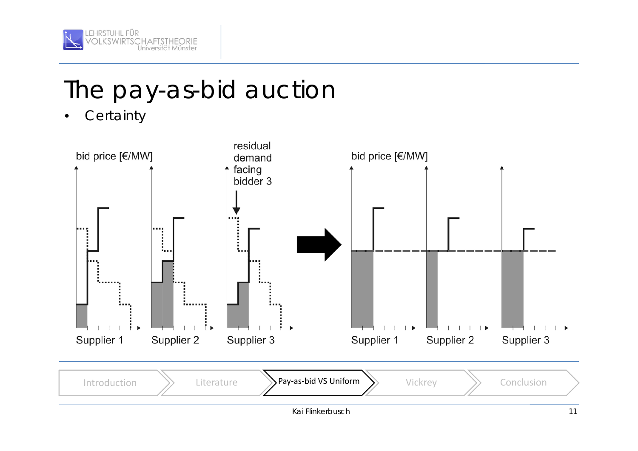

Certainty

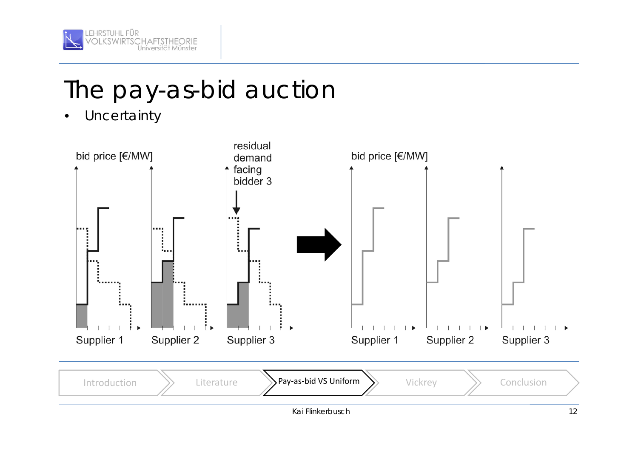

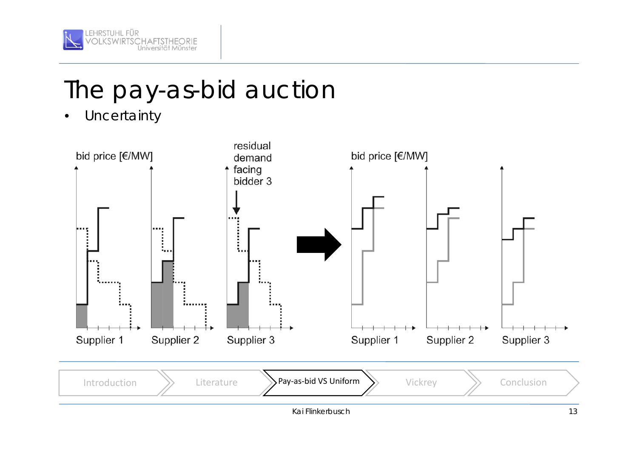

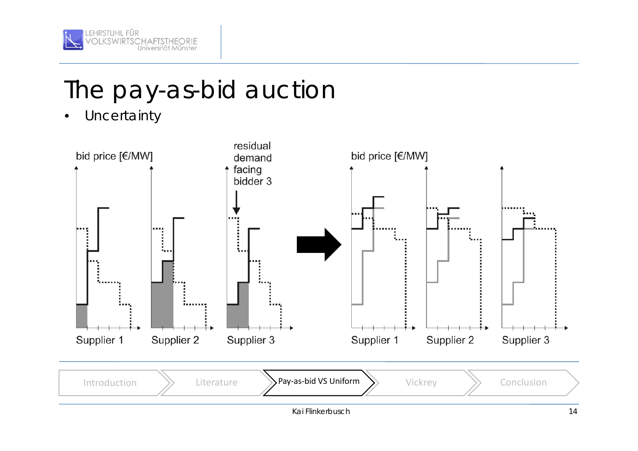

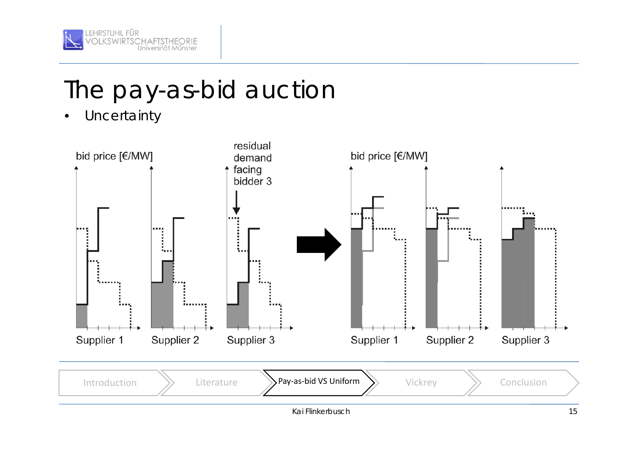

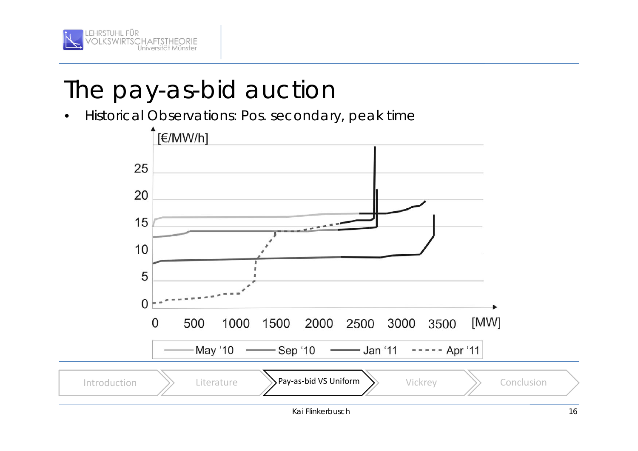

Historical Observations: Pos. secondary, peak time

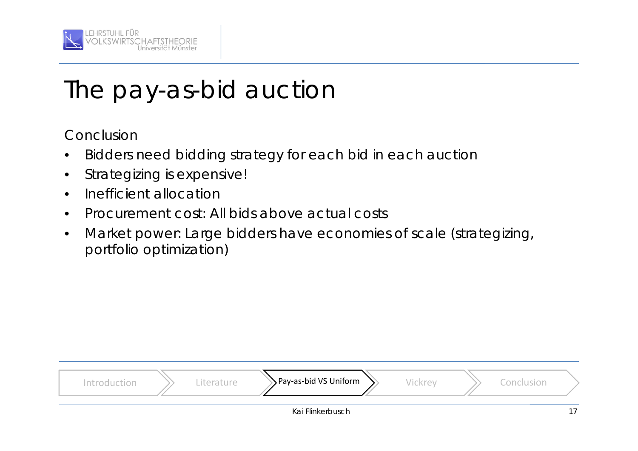

Conclusion

- •Bidders need bidding strategy for each bid in each auction
- •Strategizing is expensive!
- •Inefficient allocation
- •Procurement cost: All bids above actual costs
- • Market power: Large bidders have economies of scale (strategizing, portfolio optimization)

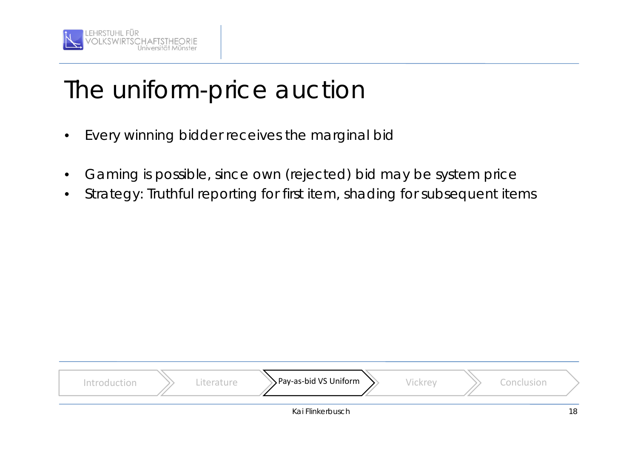

## The uniform-price auction

- •Every winning bidder receives the marginal bid
- •Gaming is possible, since own (rejected) bid may be system price
- •Strategy: Truthful reporting for first item, shading for subsequent items

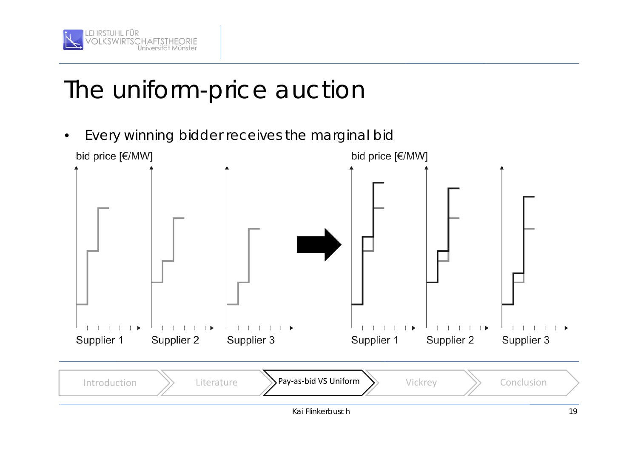

## The uniform-price auction

Every winning bidder receives the marginal bid bid price [€/MW] bid price [€/MW]

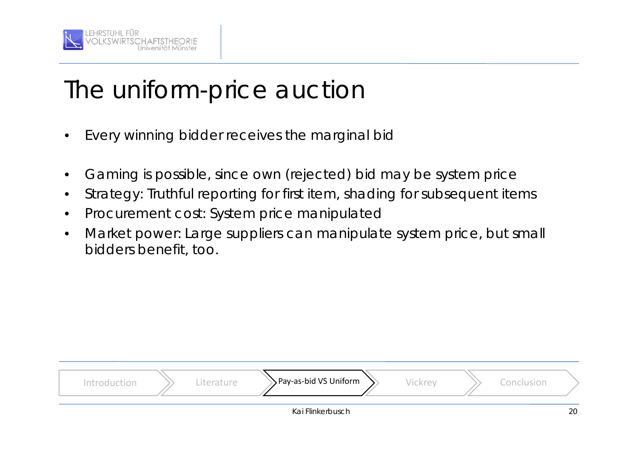

## The uniform-price auction

- •Every winning bidder receives the marginal bid
- •Gaming is possible, since own (rejected) bid may be system price
- •Strategy: Truthful reporting for first item, shading for subsequent items
- •Procurement cost: System price manipulated
- • Market power: Large suppliers can manipulate system price, but small bidders benefit, too.

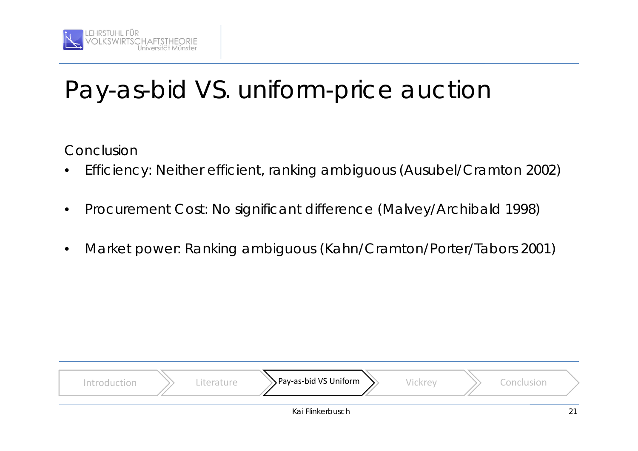

# Pay-as-bid VS. uniform-price auction

Conclusion

- •Efficiency: Neither efficient, ranking ambiguous (Ausubel/Cramton 2002)
- •Procurement Cost: No significant difference (Malvey/Archibald 1998)
- •Market power: Ranking ambiguous (Kahn/Cramton/Porter/Tabors 2001)

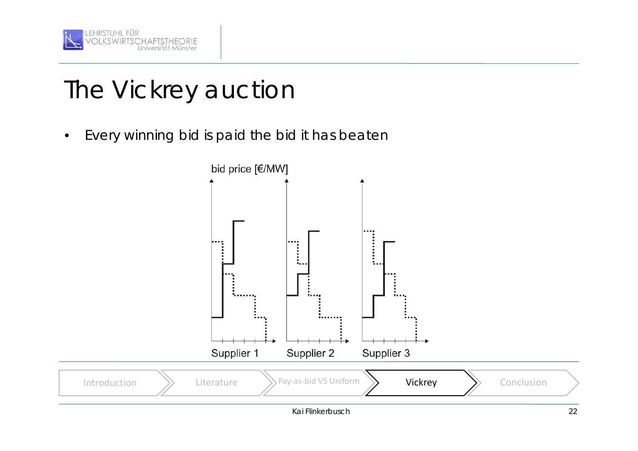

Every winning bid is paid the bid it has beaten

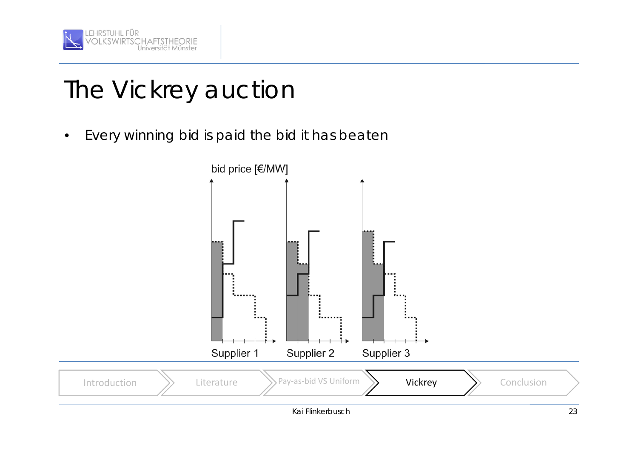

Every winning bid is paid the bid it has beaten

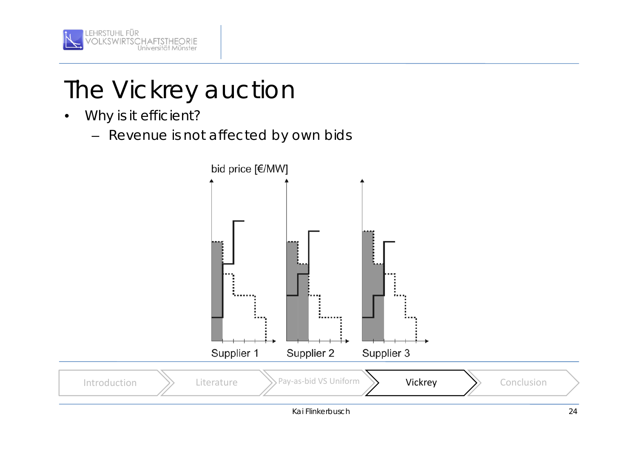

- •Why is it efficient?
	- Revenue is not affected by own bids

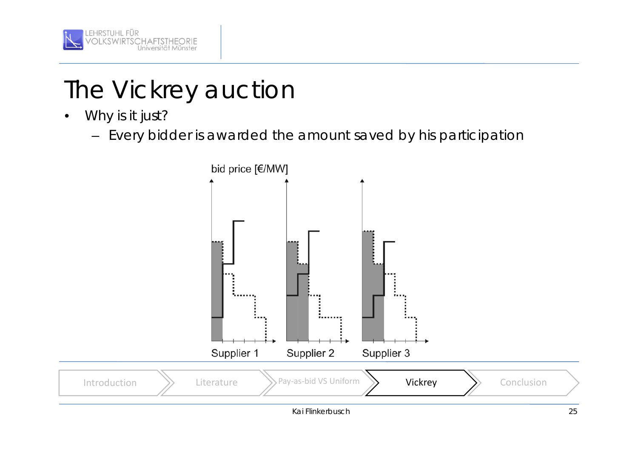

- • Why is it just?
	- Every bidder is awarded the amount saved by his participation

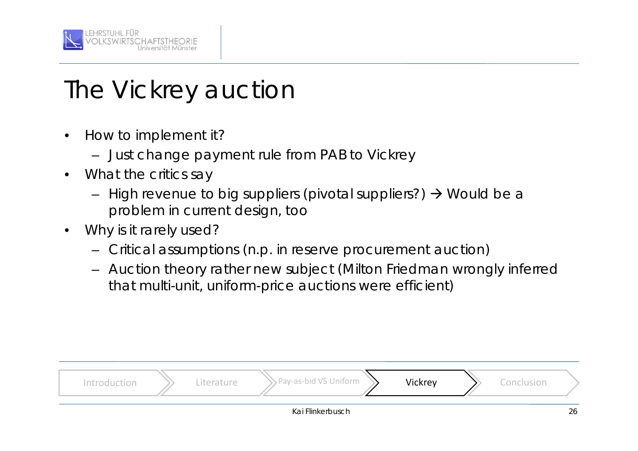

- • How to implement it?
	- Just change payment rule from PAB to Vickrey
- • What the critics say
	- High revenue to big suppliers (pivotal suppliers?)  $\rightarrow$  Would be a problem in current design, too
- • Why is it rarely used?
	- Critical assumptions (n.p. in reserve procurement auction)
	- Auction theory rather new subject (Milton Friedman wrongly inferred that multi-unit, uniform-price auctions were efficient)

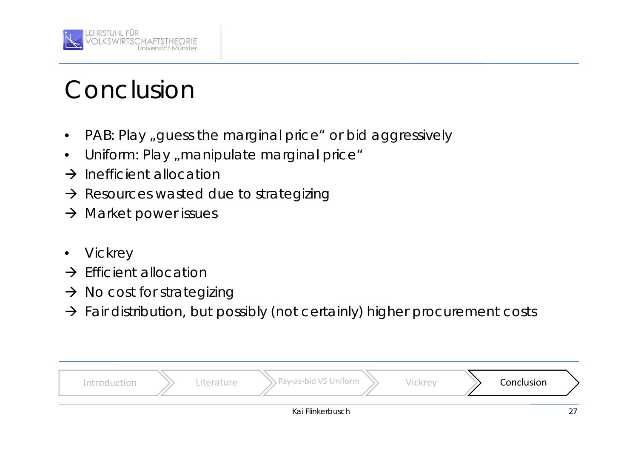

#### Conclusion

- •PAB: Play "guess the marginal price" or bid aggressively
- •Uniform: Play "manipulate marginal price"
- $\rightarrow$  Inefficient allocation
- $\rightarrow$  Resources wasted due to strategizing
- $\rightarrow$  Market power issues
- •**Vickrey**
- $\rightarrow$  Efficient allocation
- $\rightarrow$  No cost for strategizing
- $\rightarrow$  Fair distribution, but possibly (not certainly) higher procurement costs